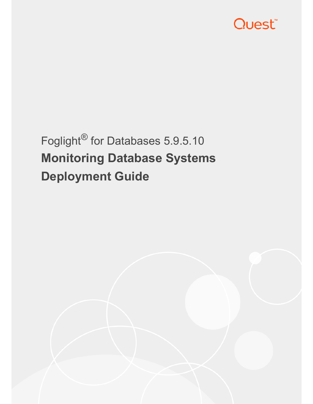

# Foglight® for Databases 5.9.5.10 **Monitoring Database Systems Deployment Guide**

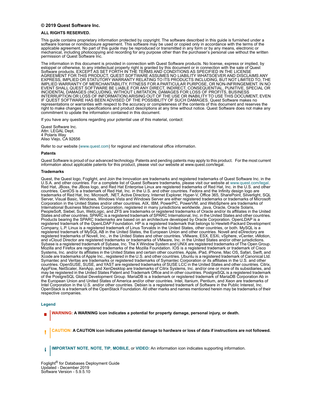#### **© 2019 Quest Software Inc.**

#### **ALL RIGHTS RESERVED.**

This guide contains proprietary information protected by copyright. The software described in this guide is furnished under a software license or nondisclosure agreement. This software may be used or copied only in accordance with the terms of the applicable agreement. No part of this guide may be reproduced or transmitted in any form or by any means, electronic or mechanical, including photocopying and recording for any purpose other than the purchaser's personal use without the written permission of Quest Software Inc.

The information in this document is provided in connection with Quest Software products. No license, express or implied, by estoppel or otherwise, to any intellectual property right is granted by this document or in connection with the sale of Quest Software products. EXCEPT AS SET FORTH IN THE TERMS AND CONDITIONS AS SPECIFIED IN THE LICENSE<br>AGREEMENT FOR THIS PRODUCT, QUEST SOFTWARE ASSUMES NO LIABILITY WHATSOEVER AND DISCLAIMS ANY EXPRESS, IMPLIED OR STATUTORY WARRANTY RELATING TO ITS PRODUCTS INCLUDING, BUT NOT LIMITED TO, THE IMPLIED WARRANTY OF MERCHANTABILITY, FITNESS FOR A PARTICULAR PURPOSE, OR NON-INFRINGEMENT. IN NO<br>EVENT SHALL QUEST SOFTWARE BE LIABLE FOR ANY DIRECT, INDIRECT, CONSEQUENTIAL, PUNITIVE, SPECIAL OR<br>INCIDENTAL DAMAGES (INCLU INTERRUPTION OR LOSS OF INFORMATION) ARISING OUT OF THE USE OR INABILITY TO USE THIS DOCUMENT, EVEN IF QUEST SOFTWARE HAS BEEN ADVISED OF THE POSSIBILITY OF SUCH DAMAGES. Quest Software makes no representations or warranties with respect to the accuracy or completeness of the contents of this document and reserves the right to make changes to specifications and product descriptions at any time without notice. Quest Software does not make any commitment to update the information contained in this document.

If you have any questions regarding your potential use of this material, contact:

Quest Software Inc. Attn: LEGAL Dept. 4 Polaris Way Aliso Viejo, CA 92656

Refer to our website (www.quest.com) for regional and international office information.

#### **Patents**

Quest Software is proud of our advanced technology. Patents and pending patents may apply to this product. For the most current<br>information about applicable patents for this product, please visit our website at www.quest

#### **Trademarks**

Quest, the Quest logo, Foglight, and Join the Innovation are trademarks and registered trademarks of Quest Software Inc. in the U.S.A. and other countries. For a complete list of Quest Software trademarks, please visit our Red Hat, JBoss, the JBoss logo, and Red Hat Enterprise Linux are registered trademarks of Red Hat, Inc. in the U.S. and other countries. CentOS is a trademark of Red Hat, Inc. in the U.S. and other countries. Fedora and the Infinity design logo are trademarks of Red Hat, Inc. Microsoft, .NET, Active Directory, Internet Explorer, Hyper-V, Office 365, SharePoint, Silverlight, SQL<br>Server, Visual Basic, Windows, Windows Vista and Windows Server are either registered trad Corporation in the United States and/or other countries. AIX, IBM, PowerPC, PowerVM, and WebSphere are trademarks of International Business Machines Corporation, registered in many jurisdictions worldwide. Java, Oracle, Oracle Solaris,<br>PeopleSoft, Siebel, Sun, WebLogic, and ZFS are trademarks or registered trademarks of Oracle and/or its States and other countries. SPARC is a registered trademark of SPARC International, Inc. in the United States and other countries. Products bearing the SPARC trademarks are based on an architecture developed by Oracle Corporation. OpenLDAP is a<br>registered trademark of the OpenLDAP Foundation. HP is a registered trademark that belongs to Hewlett-Packar Company, L.P. Linux is a registered trademark of Linus Torvalds in the United States, other countries, or both. MySQL is a registered trademark of MySQL AB in the United States, the European Union and other countries. Novell and eDirectory are registered trademarks of Novell, Inc., in the United States and other countries. VMware, ESX, ESXi, vSphere, vCenter, vMotion, and vCloud Director are registered trademarks or trademarks of VMware, Inc. in the United States and/or other jurisdictions. Sybase is a registered trademark of Sybase, Inc. The X Window System and UNIX are registered trademarks of The Open Group. Mozilla and Firefox are registered trademarks of the Mozilla Foundation. IOS is a registered trademark or trademark of Cisco Systems, Inc. and/or its affiliates in the United States and certain other countries. Apple, iPad, iPhone, Mac OS, Safari, Swift, and Xcode are trademarks of Apple Inc., registered in the U.S. and other countries. Ubuntu is a registered trademark of Canonical Ltd. Symantec and Veritas are trademarks or registered trademarks of Symantec Corporation or its affiliates in the U.S. and other countries. OpenSUSE, SUSE, and YAST are registered trademarks of SUSE LCC in the United States and other countries. Citrix, AppFlow, NetScaler, XenApp, and XenDesktop are trademarks of Citrix Systems, Inc. and/or one or more of its subsidiaries, and may be registered in the United States Patent and Trademark Office and in other countries. PostgreSQL is a registered trademark<br>of the PostgreSQL Global Development Group. MariaDB is a trademark or registered trademark of the European Union and United States of America and/or other countries. Intel, Itanium, Pentium, and Xeon are trademarks of Intel Corporation in the U.S. and/or other countries. Debian is a registered trademark of Software in the Public Interest, Inc. OpenStack is a trademark of the OpenStack Foundation. All other marks and names mentioned herein may be trademarks of their respective companies.

#### **Legend**

**WARNING: A WARNING icon indicates a potential for property damage, personal injury, or death.**

**CAUTION: A CAUTION icon indicates potential damage to hardware or loss of data if instructions are not followed.** Ţ

**IMPORTANT NOTE**, **NOTE**, **TIP**, **MOBILE**, or **VIDEO:** An information icon indicates supporting information.i

Foglight® for Databases Deployment Guide Updated - December 2019 Software Version - 5.9.5.10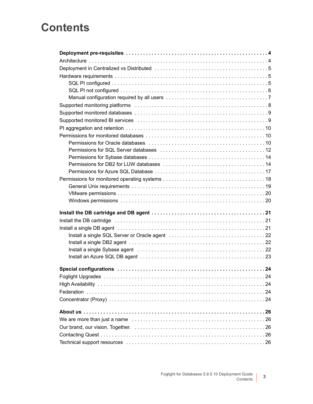## **Contents**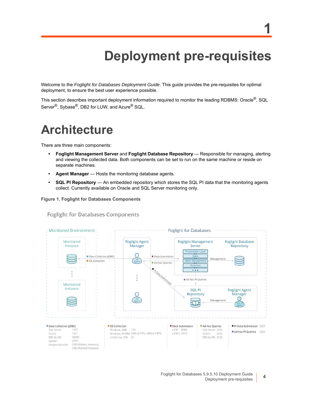# **Deployment pre-requisites**

**1**

Welcome to the *Foglight for Databases Deployment Guide*. This guide provides the pre-requisites for optimal deployment, to ensure the best user experience possible.

This section describes important deployment information required to monitor the leading RDBMS: Oracle®, SQL Server<sup>®</sup>, Sybase<sup>®</sup>, DB2 for LUW, and Azure<sup>®</sup> SQL.

## <span id="page-3-0"></span>**Architecture**

There are three main components:

- **Foglight Management Server** and **Foglight Database Repository**  Responsible for managing, alerting and viewing the collected data. Both components can be set to run on the same machine or reside on separate machines.
- **Agent Manager** Hosts the monitoring database agents.
- **SQL PI Repository** An embedded repository which stores the SQL PI data that the monitoring agents collect. Currently available on Oracle and SQL Server monitoring only.

**Figure 1. Foglight for Databases Components**

**Foglight for Databases Components** 

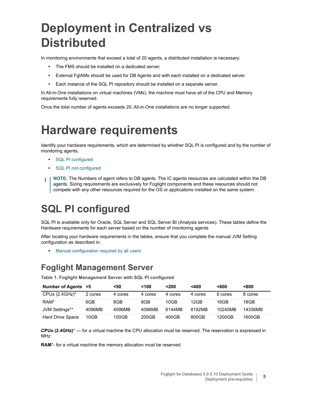# <span id="page-4-0"></span>**Deployment in Centralized vs Distributed**

In monitoring environments that exceed a total of 20 agents, a distributed installation is necessary:

- **•** The FMS should be installed on a dedicated server.
- **•** External FglAMs should be used for DB Agents and with each installed on a dedicated server.
- **•** Each instance of the SQL PI repository should be installed on a separate server.

In All-in-One installations on virtual machines (VMs), the machine must have all of the CPU and Memory requirements fully reserved.

<span id="page-4-1"></span>Once the total number of agents exceeds 20, All-in-One installations are no longer supported.

# **Hardware requirements**

Identif[y your hardware req](#page-4-2)uirements, which are determined by whether SQL PI is configured and by the number of monitoring agents.

- **•** [SQL PI configured](#page-5-0)
- **•** SQL PI not configured
- <span id="page-4-2"></span>**NOTE:** The Numbers of agent refers to DB agents. The IC agents resources are calculated within the DB ÷ agents. Sizing requirements are exclusively for Foglight components and these resources should not compete with any other resources required for the OS or applications installed on the same system.

## **SQL PI configured**

SQL PI is available only for Oracle, SQL Server and SQL Server BI (Analysis services). These tables define the Hardware requirements for each server based on the number of monitoring agents

After lo[cating your hardware requirements in the t](#page-6-0)ables, ensure that you complete the manual JVM Setting configuration as described in:

**•** Manual configuration required by all users

### **Foglight Management Server**

**Table 1. Foglight Management Server with SQL PI configured**

| Number of Agents <5     |         | <50     | $100$   | $200$   | $<$ 400 | <600    | <800    |
|-------------------------|---------|---------|---------|---------|---------|---------|---------|
| CPUs $(2.4$ GHz $)^*$   | 2 cores | 4 cores | 4 cores | 4 cores | 4 cores | 6 cores | 8 cores |
| RAM <sup>*</sup>        | 6GB     | 8GB     | 8GB     | 10GB    | 12GB    | 16GB    | 18GB    |
| JVM Settings**          | 4096MB  | 4096MB  | 4096MB  | 6144MB  | 8192MB  | 10240MB | 14336MB |
| <b>Hard Drive Space</b> | 10GB    | 100GB   | 200GB   | 400GB   | 800GB   | 1200GB  | 1600GB  |

**CPUs (2.4GHz)**\* — for a virtual machine the CPU allocation must be reserved. The reservation is expressed in MHz

**RAM**\*- for a virtual machine the memory allocation must be reserved.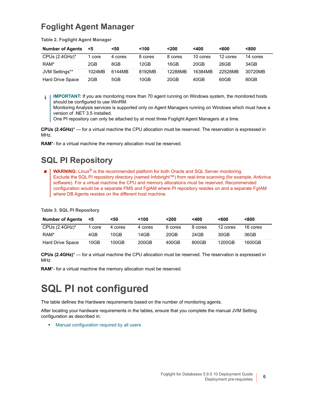### **Foglight Agent Manager**

**Table 2. Foglight Agent Manager**

| <b>Number of Agents</b> | <5     | <50     | < 100   | $200$   | $<$ 400  | <600     | < 800    |
|-------------------------|--------|---------|---------|---------|----------|----------|----------|
| CPUs $(2.4$ GHz $)^*$   | core   | 4 cores | 8 cores | 8 cores | 10 cores | 12 cores | 14 cores |
| RAM*                    | 2GB    | 8GB     | 12GB    | 16GB    | 20GB     | 26GB     | 34GB     |
| JVM Settings**          | 1024MB | 6144MB  | 8192MB  | 12288MB | 16384MB  | 22528MB  | 30720MB  |
| <b>Hard Drive Space</b> | 2GB    | 5GB     | 10GB    | 20GB    | 40GB     | 60GB     | 80GB     |

**IMPORTANT:** If you are monitoring more than 70 agent running on Windows system, the monitored hosts ÷. should be configured to use WinRM.

Monitoring Analysis services is supported only on Agent Managers running on Windows which must have a version of .NET 3.5 installed.

One PI repository can only be attached by at most three Foglight Agent Managers at a time.

**CPUs (2.4GHz)**\* — for a virtual machine the CPU allocation must be reserved. The reservation is expressed in MHz.

**RAM**\*- for a virtual machine the memory allocation must be reserved.

### **SQL PI Repository**

**WARNING:** Linux® is the recommended platform for both Oracle and SQL Server monitoring. Exclude the SQL PI repository directory (named Infobright™) from real-time scanning (for example, Antivirus software). For a virtual machine the CPU and memory allocations must be reserved. Recommended configuration would be a separate FMS and FglAM where PI repository resides on and a separate FgIAM where DB Agents resides on the different host machine.

**Table 3. SQL PI Repository**

| <b>Number of Agents</b> | <5   | <50     | $100$   | <200    | $400$   | <600     | <800     |
|-------------------------|------|---------|---------|---------|---------|----------|----------|
| CPUs $(2.4$ GHz $)^*$   | core | 4 cores | 4 cores | 6 cores | 8 cores | 12 cores | 16 cores |
| RAM*                    | 4GB  | 10GB    | 14GB    | 20GB    | 24GB    | 30GB     | 36GB     |
| <b>Hard Drive Space</b> | 10GB | 100GB   | 200GB   | 400GB   | 800GB   | 1200GB   | 1600GB   |

**CPUs (2.4GHz)**\* — for a virtual machine the CPU allocation must be reserved. The reservation is expressed in MHz

<span id="page-5-0"></span>**RAM**\*- for a virtual machine the memory allocation must be reserved.

## **SQL PI not configured**

The table defines the Hardware requirements based on the number of monitoring agents.

After lo[cating your hardware requirements in the t](#page-6-0)ables, ensure that you complete the manual JVM Setting configuration as described in:

**•** Manual configuration required by all users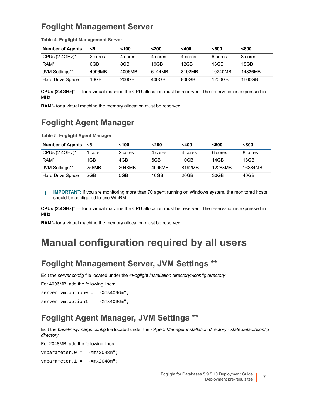### **Foglight Management Server**

| <b>Number of Agents</b> | <5      | $100$   | $200$   | $<$ 400 | < 600   | < 800   |
|-------------------------|---------|---------|---------|---------|---------|---------|
| CPUs $(2.4$ GHz $)^*$   | 2 cores | 4 cores | 4 cores | 4 cores | 6 cores | 8 cores |
| RAM <sup>*</sup>        | 6GB     | 8GB     | 10GB    | 12GB    | 16GB    | 18GB    |
| JVM Settings**          | 4096MB  | 4096MB  | 6144MB  | 8192MB  | 10240MB | 14336MB |
| <b>Hard Drive Space</b> | 10GB    | 200GB   | 400GB   | 800GB   | 1200GB  | 1600GB  |

**Table 4. Foglight Management Server**

**CPUs (2.4GHz)**\* — for a virtual machine the CPU allocation must be reserved. The reservation is expressed in MHz

**RAM**\*- for a virtual machine the memory allocation must be reserved.

### **Foglight Agent Manager**

**Table 5. Foglight Agent Manager**

| Number of Agents <5     |       | <100    | $200$   | $400$   | $600$   | < 800   |
|-------------------------|-------|---------|---------|---------|---------|---------|
| CPUs $(2.4$ GHz $)^*$   | core  | 2 cores | 4 cores | 4 cores | 6 cores | 8 cores |
| RAM*                    | 1GB   | 4GB     | 6GB     | 10GB    | 14GB    | 18GB    |
| JVM Settings**          | 256MB | 2048MB  | 4096MB  | 8192MB  | 12288MB | 16384MB |
| <b>Hard Drive Space</b> | 2GB   | 5GB     | 10GB    | 20GB    | 30GB    | 40GB    |

**IMPORTANT:** If you are monitoring more than 70 agent running on Windows system, the monitored hosts i I should be configured to use WinRM.

**CPUs (2.4GHz)**\* — for a virtual machine the CPU allocation must be reserved. The reservation is expressed in MHz

<span id="page-6-1"></span>**RAM**\*- for a virtual machine the memory allocation must be reserved.

## <span id="page-6-0"></span>**Manual configuration required by all users**

### **Foglight Management Server, JVM Settings \*\***

Edit the *server.config* file located under the <*Foglight installation directory>\config directory*.

For 4096MB, add the following lines:

```
server.vm.option0 = "-Xms4096m";
server.vm.option1 = "-Xmx4096m";
```
### **Foglight Agent Manager, JVM Settings \*\***

Edit the *baseline.jvmargs.config* file located under the *<Agent Manager installation directory>\state\default\config\ directory*

For 2048MB, add the following lines:

vmparameter.0 = "-Xms2048m"; vmparameter.1 = "-Xmx2048m";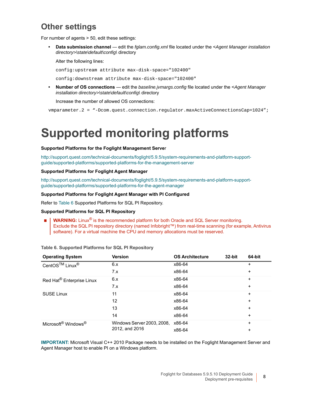### **Other settings**

For number of agents > 50, edit these settings:

**• Data submission channel** — edit the *fglam.config.xml* file located under the <*Agent Manager installation directory>\state\default\config\* directory

Alter the following lines:

config:upstream attribute max-disk-space="102400"

config:downstream attribute max-disk-space="102400"

**• Number of OS connections** — edit the *baseline.jvmargs.config* file located under the <*Agent Manager installation directory>\state\default\config\* directory

Increase the number of allowed OS connections:

<span id="page-7-0"></span>vmparameter.2 = "-Dcom.quest.connection.regulator.maxActiveConnectionsCap=1024";

# **Supported monitoring platforms**

#### **[Supported Platforms for the Foglight Management Serve](http://support.quest.com/technical-documents/foglight/5.9.4/system-requirements-and-platform-support-guide/supported-platforms/supported-platforms-for-the-management-server)**r

http://support.quest.com/technical-documents/foglight/5.9.5/system-requirements-and-platform-supportguide/supported-platforms/supported-platforms-for-the-management-server

#### **[S](http://support.quest.com/technical-documents/foglight/5.9.4/system-requirements-and-platform-support-guide/supported-platforms/supported-platforms-for-the-agent-manager)upported Platforms for Foglight Agent Manager**

http://support.quest.com/technical-documents/foglight/5.9.5/system-requirements-and-platform-supportguide/supported-platforms/supported-platforms-for-the-agent-manager

#### **Support[ed Plat](#page-7-1)forms for Foglight Agent Manager with PI Configured**

Refer to Table 6 Supported Platforms for SQL PI Repository.

#### **Supported Platforms for SQL PI Repository**

<span id="page-7-1"></span>**WARNING:** Linux<sup>®</sup> is the recommended platform for both Oracle and SQL Server monitoring. Exclude the SQL PI repository directory (named Infobright™) from real-time scanning (for example, Antivirus software). For a virtual machine the CPU and memory allocations must be reserved.

| <b>Operating System</b>                     | <b>Version</b>             | <b>OS Architecture</b> | 32-bit | 64-bit    |
|---------------------------------------------|----------------------------|------------------------|--------|-----------|
| CentOS™ Linux <sup>®</sup>                  | 6.x                        | x86-64                 |        | ÷         |
|                                             | 7.x                        | x86-64                 |        | $\ddot{}$ |
| Red Hat® Enterprise Linux                   | 6.x                        | x86-64                 |        | $\ddot{}$ |
|                                             | 7.x                        | x86-64                 |        | +         |
| <b>SUSE Linux</b>                           | 11                         | x86-64                 |        | $\ddot{}$ |
|                                             | 12                         | x86-64                 |        | ÷         |
|                                             | 13                         | x86-64                 |        | ÷         |
|                                             | 14                         | x86-64                 |        | +         |
| Microsoft <sup>®</sup> Windows <sup>®</sup> | Windows Server 2003, 2008, | x86-64                 |        | $\ddot{}$ |
|                                             | 2012, and 2016             | x86-64                 |        | ÷         |

**Table 6. Supported Platforms for SQL PI Repository**

**IMPORTANT:** Microsoft Visual C++ 2010 Package needs to be installed on the Foglight Management Server and Agent Manager host to enable PI on a Windows platform.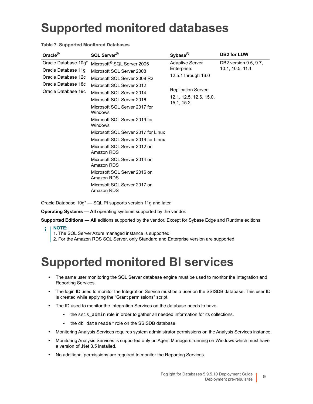# <span id="page-8-0"></span>**Supported monitored databases**

**Table 7. Supported Monitored Databases**

| Oracle $^{\circledR}$                                                                                            | SQL Server <sup>®</sup>                                                                                                                                                                                                                                                                                                                                                                                                                                                                                                                                  | Sybase <sup>®</sup>                                                                                                                 | <b>DB2 for LUW</b>                        |
|------------------------------------------------------------------------------------------------------------------|----------------------------------------------------------------------------------------------------------------------------------------------------------------------------------------------------------------------------------------------------------------------------------------------------------------------------------------------------------------------------------------------------------------------------------------------------------------------------------------------------------------------------------------------------------|-------------------------------------------------------------------------------------------------------------------------------------|-------------------------------------------|
| Oracle Database 10q*<br>Oracle Database 11g<br>Oracle Database 12c<br>Oracle Database 18c<br>Oracle Database 19c | Microsoft <sup>®</sup> SQL Server 2005<br>Microsoft SQL Server 2008<br>Microsoft SQL Server 2008 R2<br>Microsoft SQL Server 2012<br>Microsoft SQL Server 2014<br>Microsoft SQL Server 2016<br>Microsoft SQL Server 2017 for<br>Windows<br>Microsoft SQL Server 2019 for<br>Windows<br>Microsoft SOI Server 2017 for Linux<br>Microsoft SQL Server 2019 for Linux<br>Microsoft SQL Server 2012 on<br>Amazon RDS<br>Microsoft SQL Server 2014 on<br>Amazon RDS<br>Microsoft SQL Server 2016 on<br>Amazon RDS<br>Microsoft SQL Server 2017 on<br>Amazon RDS | <b>Adaptive Server</b><br>Enterprise:<br>12.5.1 through 16.0<br><b>Replication Server:</b><br>12.1, 12.5, 12.6, 15.0,<br>15.1, 15.2 | DB2 version 9.5, 9.7,<br>10.1, 10.5, 11.1 |

Oracle Database 10g\* — SQL PI supports version 11g and later

**Operating Systems — All** operating systems supported by the vendor.

**Supported Editions — All** editions supported by the vendor. Except for Sybase Edge and Runtime editions.

**NOTE:**  f

- 1. The SQL Server Azure managed instance is supported.
- 2. For the Amazon RDS SQL Server, only Standard and Enterprise version are supported.

# <span id="page-8-1"></span>**Supported monitored BI services**

- **•** The same user monitoring the SQL Server database engine must be used to monitor the Integration and Reporting Services.
- **•** The login ID used to monitor the Integration Service must be a user on the SSISDB database. This user ID is created while applying the "Grant permissions" script.
- **•** The ID used to monitor the Integration Services on the database needs to have:
	- **▪** the ssis\_admin role in order to gather all needed information for its collections.
	- **▪** the db\_datareader role on the SSISDB database.
- **•** Monitoring Analysis Services requires system administrator permissions on the Analysis Services instance.
- **•** Monitoring Analysis Services is supported only on Agent Managers running on Windows which must have a version of .Net 3.5 installed.
- **•** No additional permissions are required to monitor the Reporting Services.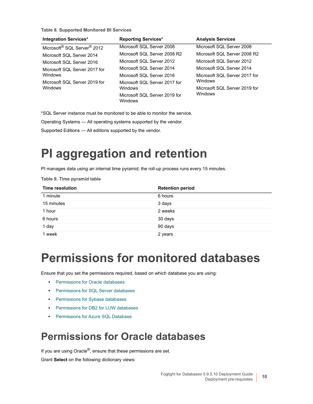**Table 8. Supported Monitored BI Services**

| Integration Services*                               | <b>Reporting Services*</b>                      | <b>Analysis Services</b>      |
|-----------------------------------------------------|-------------------------------------------------|-------------------------------|
| Microsoft <sup>®</sup> SQL Server <sup>®</sup> 2012 | Microsoft SQL Server 2008                       | Microsoft SQL Server 2008     |
| Microsoft SQL Server 2014                           | Microsoft SQL Server 2008 R2                    | Microsoft SQL Server 2008 R2  |
| Microsoft SQL Server 2016                           | Microsoft SQL Server 2012                       | Microsoft SQL Server 2012     |
| Microsoft SQL Server 2017 for                       | Microsoft SQL Server 2014                       | Microsoft SQL Server 2014     |
| <b>Windows</b>                                      | Microsoft SQL Server 2016                       | Microsoft SQL Server 2017 for |
| Microsoft SQL Server 2019 for                       | Microsoft SQL Server 2017 for                   | Windows                       |
| <b>Windows</b>                                      | <b>Windows</b>                                  | Microsoft SQL Server 2019 for |
|                                                     | Microsoft SQL Server 2019 for<br><b>Windows</b> | Windows                       |

\*SQL Server instance must be monitored to be able to monitor the service.

Operating Systems — All operating systems supported by the vendor.

<span id="page-9-0"></span>Supported Editions — All editions supported by the vendor.

# **PI aggregation and retention**

PI manages data using an internal time pyramid; the roll-up process runs every 15 minutes.

**Table 9. Time pyramid table**

| <b>Time resolution</b> | <b>Retention period</b> |
|------------------------|-------------------------|
| 1 minute               | 6 hours                 |
| 15 minutes             | 3 days                  |
| 1 hour                 | 2 weeks                 |
| 6 hours                | 30 days                 |
| 1 day                  | 90 days                 |
| 1 week                 | 2 years                 |

# <span id="page-9-1"></span>**Permissions for monitored databases**

Ensure [that you set the permissions requi](#page-9-2)red, based on which database you are using:

- **•** [Permissions for Oracle databases](#page-11-0)
- **•** [Permissions for SQL Server databa](#page-13-0)ses
- **•** [Permissions for Sybase databases](#page-13-1)
- **•** [Permissions for DB2 for LUW databas](#page-16-0)es
- <span id="page-9-2"></span>**•** Permissions for Azure SQL Database

## **Permissions for Oracle databases**

If you are using Oracle<sup>®</sup>, ensure that these permissions are set.

Grant **Select** on the following dictionary views: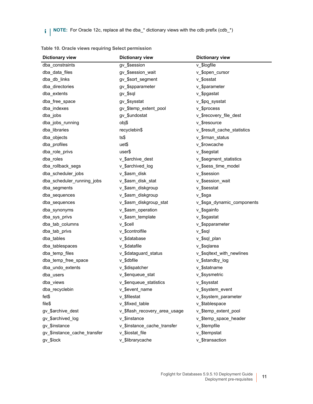**i** | NOTE: For Oracle 12c, replace all the dba\_\* dictionary views with the cdb prefix (cdb\_\*)

| <b>Dictionary view</b>       | <b>Dictionary view</b>        | <b>Dictionary view</b>      |
|------------------------------|-------------------------------|-----------------------------|
| dba_constraints              | gv \$session                  | v_\$logfile                 |
| dba data files               | gv_\$session_wait             | v_\$open_cursor             |
| dba_db_links                 | gv_\$sort_segment             | v_\$osstat                  |
| dba directories              | gv_\$spparameter              | v_\$parameter               |
| dba_extents                  | gv_\$sql                      | v_\$pgastat                 |
| dba_free_space               | gv_\$sysstat                  | v_\$pq_sysstat              |
| dba_indexes                  | gv_\$temp_extent_pool         | v_\$process                 |
| dba_jobs                     | gv_\$undostat                 | v_\$recovery_file_dest      |
| dba_jobs_running             | obj\$                         | v \$resource                |
| dba_libraries                | recyclebin\$                  | v_\$result_cache_statistics |
| dba_objects                  | ts\$                          | v_\$rman_status             |
| dba_profiles                 | uet\$                         | v_\$rowcache                |
| dba_role_privs               | user\$                        | v_\$segstat                 |
| dba_roles                    | v_\$archive_dest              | v_\$segment_statistics      |
| dba_rollback_segs            | v_\$archived_log              | v_\$sess_time_model         |
| dba_scheduler_jobs           | v_\$asm_disk                  | v \$session                 |
| dba scheduler running jobs   | v \$asm disk stat             | v_\$session_wait            |
| dba_segments                 | v_\$asm_diskgroup             | v_\$sesstat                 |
| dba_sequences                | v_\$asm_diskgroup             | v_\$sga                     |
| dba_sequences                | v_\$asm_diskgroup_stat        | v_\$sga_dynamic_components  |
| dba_synonyms                 | v_\$asm_operation             | v_\$sgainfo                 |
| dba_sys_privs                | v_\$asm_template              | v_\$sgastat                 |
| dba_tab_columns              | v_\$cell                      | v_\$spparameter             |
| dba_tab_privs                | v_\$controlfile               | v_\$sql                     |
| dba_tables                   | v_\$database                  | v_\$sql_plan                |
| dba_tablespaces              | v \$datafile                  | v_\$sqlarea                 |
| dba_temp_files               | v_\$dataguard_status          | v_\$sqltext_with_newlines   |
| dba_temp_free_space          | v_\$dbfile                    | v_\$standby_log             |
| dba_undo_extents             | v_\$dispatcher                | v_\$statname                |
| dba_users                    | v \$enqueue stat              | v_\$sysmetric               |
| dba views                    | v_\$enqueue_statistics        | v_\$sysstat                 |
| dba_recyclebin               | v_\$event_name                | v_\$system_event            |
| fet\$                        | v_\$filestat                  | v \$system parameter        |
| file\$                       | v \$fixed_table               | v_\$tablespace              |
| gv_\$archive_dest            | v_\$flash_recovery_area_usage | v_\$temp_extent_pool        |
| gv \$archived log            | v_\$instance                  | v_\$temp_space_header       |
| gv_\$instance                | v_\$instance_cache_transfer   | v_\$tempfile                |
| gv_\$instance_cache_transfer | v \$iostat file               | v_\$tempstat                |
| gv_\$lock                    | v_\$librarycache              | v_\$transaction             |
|                              |                               |                             |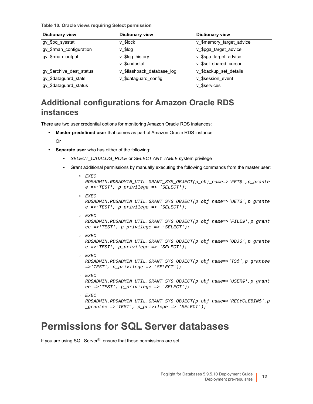**Table 10. Oracle views requiring Select permission**

| <b>Dictionary view</b>   | <b>Dictionary view</b>     | <b>Dictionary view</b>   |
|--------------------------|----------------------------|--------------------------|
| gv_\$pq_sysstat          | v \$lock                   | v_\$memory_target_advice |
| gv_\$rman_configuration  | $v$ \$log                  | v_\$pga_target_advice    |
| gv_\$rman_output         | v_\$log_history            | v_\$sga_target_advice    |
|                          | v \$undostat               | v_\$sql_shared_cursor    |
| gv_\$archive_dest_status | v_\$flashback_database_log | v_\$backup_set_details   |
| gv_\$dataguard_stats     | v_\$dataguard_config       | v \$session event        |
| gv_\$dataguard_status    |                            | v \$services             |

### **Additional configurations for Amazon Oracle RDS instances**

There are two user credential options for monitoring Amazon Oracle RDS instances:

**• Master predefined user** that comes as part of Amazon Oracle RDS instance

Or

- **Separate user** who has either of the following:
	- **▪** *SELECT\_CATALOG\_ROLE* or *SELECT ANY TABLE* system privilege
	- Grant additional permissions by manually executing the following commands from the master user:

```
▫ EXEC 
  RDSADMIN.RDSADMIN_UTIL.GRANT_SYS_OBJECT(p_obj_name=>'FET$',p_grante
  e =>'TEST', p_privilege => 'SELECT');
▫ EXEC 
  RDSADMIN.RDSADMIN_UTIL.GRANT_SYS_OBJECT(p_obj_name=>'UET$',p_grante
  e =>'TEST', p_privilege => 'SELECT');
▫ EXEC
```

```
RDSADMIN.RDSADMIN_UTIL.GRANT_SYS_OBJECT(p_obj_name=>'FILE$',p_grant
ee =>'TEST', p_privilege => 'SELECT');
```

```
▫ EXEC 
  RDSADMIN.RDSADMIN_UTIL.GRANT_SYS_OBJECT(p_obj_name=>'OBJ$',p_grante
  e =>'TEST', p_privilege => 'SELECT');
```
- *▫ EXEC RDSADMIN.RDSADMIN\_UTIL.GRANT\_SYS\_OBJECT(p\_obj\_name=>'TS\$',p\_grantee =>'TEST', p\_privilege => 'SELECT');*
- *▫ EXEC RDSADMIN.RDSADMIN\_UTIL.GRANT\_SYS\_OBJECT(p\_obj\_name=>'USER\$',p\_grant ee =>'TEST', p\_privilege => 'SELECT');*

```
▫ EXEC 
  RDSADMIN.RDSADMIN_UTIL.GRANT_SYS_OBJECT(p_obj_name=>'RECYCLEBIN$',p
  _grantee =>'TEST', p_privilege => 'SELECT');
```
## <span id="page-11-0"></span>**Permissions for SQL Server databases**

If you are using SQL Server<sup>®</sup>, ensure that these permissions are set.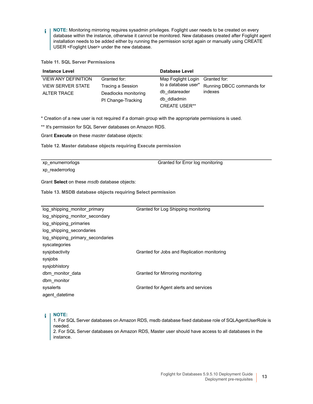**NOTE:** Monitoring mirroring requires sysadmin privileges. Foglight user needs to be created on every ÷. database within the instance, otherwise it cannot be monitored. New databases created after Foglight agent installation needs to be added either by running the permission script again or manually using CREATE USER <Foglight User> under the new database.

**Table 11. SQL Server Permissions**

| <b>Instance Level</b>      |                      | <b>Database Level</b>           |                           |
|----------------------------|----------------------|---------------------------------|---------------------------|
| <b>VIEW ANY DEFINITION</b> | Granted for:         | Map Foglight Login Granted for: |                           |
| <b>VIEW SERVER STATE</b>   | Tracing a Session    | to a database user*             | Running DBCC commands for |
| ALTER TRACE                | Deadlocks monitoring | db datareader                   | indexes                   |
|                            | PI Change-Tracking   | db ddladmin                     |                           |
|                            |                      | <b>CREATE USER**</b>            |                           |

\* Creation of a new user is not required if a domain group with the appropriate permissions is used.

\*\* It's permission for SQL Server databases on Amazon RDS.

Grant **Execute** on these *master* database objects:

**Table 12. Master database objects requiring Execute permission**

xp\_enumerrorlogs xp\_readerrorlog

Granted for Error log monitoring

Grant **Select** on these *msdb* database objects:

**Table 13. MSDB database objects requiring Select permission**

| log_shipping_monitor_primary     | Granted for Log Shipping monitoring         |
|----------------------------------|---------------------------------------------|
| log_shipping_monitor_secondary   |                                             |
| log shipping primaries           |                                             |
| log_shipping_secondaries         |                                             |
| log_shipping_primary_secondaries |                                             |
| syscategories                    |                                             |
| sysjobactivity                   | Granted for Jobs and Replication monitoring |
| sysjobs                          |                                             |
| sysjobhistory                    |                                             |
| dbm monitor data                 | Granted for Mirroring monitoring            |
| dbm monitor                      |                                             |
| sysalerts                        | Granted for Agent alerts and services       |
| agent datetime                   |                                             |
|                                  |                                             |

#### **NOTE:**  ÷

1. For SQL Server databases on Amazon RDS, msdb database fixed database role of SQLAgentUserRole is needed.

2. For SQL Server databases on Amazon RDS, Master user should have access to all databases in the instance.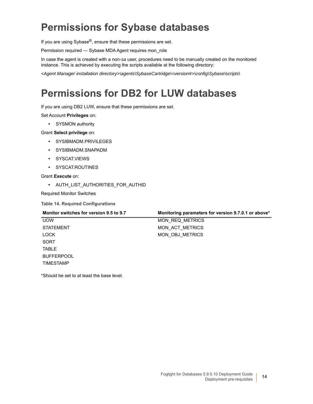## <span id="page-13-0"></span>**Permissions for Sybase databases**

If you are using Sybase®, ensure that these permissions are set.

Permission required — Sybase MDA Agent requires mon\_role

In case the agent is created with a non-*sa* user, procedures need to be manually created on the monitored instance. This is achieved by executing the scripts available at the following directory:

*<Agent Manager installation directory>\agents\SybaseCartridge\<version#>\config\Sybase\scripts\*

## <span id="page-13-1"></span>**Permissions for DB2 for LUW databases**

If you are using DB2 LUW, ensure that these permissions are set.

Set Account **Privileges** on:

**•** SYSMON authority

Grant **Select privilege** on:

- **•** SYSIBMADM.PRIVILEGES
- **•** SYSIBMADM.SNAPADM
- **•** SYSCAT.VIEWS
- **•** SYSCAT.ROUTINES

Grant **Execute** on:

**•** AUTH\_LIST\_AUTHORITIES\_FOR\_AUTHID

Required Monitor Switches

**Table 14. Required Configurations**

| Monitor switches for version 9.5 to 9.7 | Monitoring parameters for version 9.7.0.1 or above* |
|-----------------------------------------|-----------------------------------------------------|
| <b>UOW</b>                              | MON REQ METRICS                                     |
| <b>STATEMENT</b>                        | MON ACT METRICS                                     |
| <b>LOCK</b>                             | MON OBJ METRICS                                     |
| SORT                                    |                                                     |
| <b>TABLE</b>                            |                                                     |
| <b>BUFFERPOOL</b>                       |                                                     |
| <b>TIMESTAMP</b>                        |                                                     |
|                                         |                                                     |

\*Should be set to at least the base level.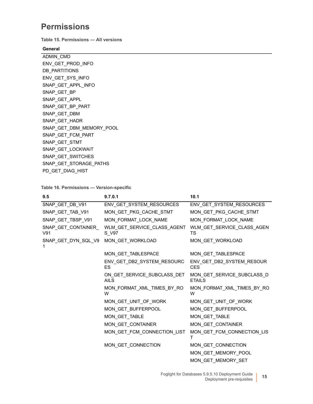### **Permissions**

**Table 15. Permissions — All versions**

### **General**

ADMIN\_CMD ENV\_GET\_PROD\_INFO DB\_PARTITIONS ENV\_GET\_SYS\_INFO SNAP\_GET\_APPL\_INFO SNAP\_GET\_BP SNAP\_GET\_APPL SNAP\_GET\_BP\_PART SNAP\_GET\_DBM SNAP\_GET\_HADR SNAP\_GET\_DBM\_MEMORY\_POOL SNAP\_GET\_FCM\_PART SNAP\_GET\_STMT SNAP\_GET\_LOCKWAIT SNAP\_GET\_SWITCHES SNAP\_GET\_STORAGE\_PATHS PD\_GET\_DIAG\_HIST

### **Table 16. Permissions — Version-specific**

| 9.5                        | 9.7.0.1                              | 10.1                                    |
|----------------------------|--------------------------------------|-----------------------------------------|
| SNAP_GET_DB_V91            | ENV_GET_SYSTEM_RESOURCES             | ENV_GET_SYSTEM_RESOURCES                |
| SNAP_GET_TAB_V91           | MON_GET_PKG_CACHE_STMT               | MON_GET_PKG_CACHE_STMT                  |
| SNAP_GET_TBSP_V91          | MON_FORMAT_LOCK_NAME                 | MON_FORMAT_LOCK_NAME                    |
| SNAP_GET_CONTAINER_<br>V91 | WLM_GET_SERVICE_CLASS_AGENT<br>S_V97 | WLM_GET_SERVICE_CLASS_AGEN<br>TS        |
| SNAP_GET_DYN_SQL_V9        | MON_GET_WORKLOAD                     | MON_GET_WORKLOAD                        |
|                            | MON_GET_TABLESPACE                   | MON_GET_TABLESPACE                      |
|                            | ENV_GET_DB2_SYSTEM_RESOURC<br>ES     | ENV_GET_DB2_SYSTEM_RESOUR<br><b>CES</b> |
|                            | <b>AILS</b>                          | <b>ETAILS</b>                           |
|                            | MON FORMAT XML TIMES BY RO<br>W      | MON FORMAT XML TIMES BY RO<br>W         |
|                            | MON_GET_UNIT_OF_WORK                 | MON_GET_UNIT_OF_WORK                    |
|                            | MON_GET_BUFFERPOOL                   | MON_GET_BUFFERPOOL                      |
|                            | MON_GET_TABLE                        | MON_GET_TABLE                           |
|                            | MON_GET_CONTAINER                    | MON_GET_CONTAINER                       |
|                            | MON_GET_FCM_CONNECTION_LIST          | MON_GET_FCM_CONNECTION_LIS              |
|                            | MON_GET_CONNECTION                   | MON GET CONNECTION                      |
|                            |                                      | MON_GET_MEMORY_POOL                     |
|                            |                                      | MON GET MEMORY SET                      |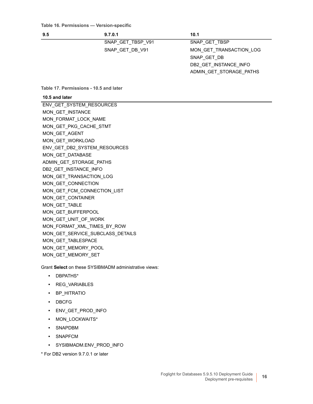| 9.5 | 9.7.0.1 | 10.1 |
|-----|---------|------|
|     |         |      |

SNAP\_GET\_TBSP\_V91 SNAP\_GET\_TBSP SNAP\_GET\_DB\_V91 MON\_GET\_TRANSACTION\_LOG SNAP\_GET\_DB DB2\_GET\_INSTANCE\_INFO ADMIN\_GET\_STORAGE\_PATHS

**Table 17. Permissions - 10.5 and later**

#### **10.5 and later**

ENV\_GET\_SYSTEM\_RESOURCES MON\_GET\_INSTANCE MON\_FORMAT\_LOCK\_NAME MON\_GET\_PKG\_CACHE\_STMT MON\_GET\_AGENT MON\_GET\_WORKLOAD ENV\_GET\_DB2\_SYSTEM\_RESOURCES MON GET DATABASE ADMIN\_GET\_STORAGE\_PATHS DB2\_GET\_INSTANCE\_INFO MON\_GET\_TRANSACTION\_LOG MON\_GET\_CONNECTION MON\_GET\_FCM\_CONNECTION\_LIST MON\_GET\_CONTAINER MON\_GET\_TABLE MON\_GET\_BUFFERPOOL MON\_GET\_UNIT\_OF\_WORK MON\_FORMAT\_XML\_TIMES\_BY\_ROW MON\_GET\_SERVICE\_SUBCLASS\_DETAILS MON\_GET\_TABLESPACE MON\_GET\_MEMORY\_POOL MON\_GET\_MEMORY\_SET

Grant **Select** on these SYSIBMADM administrative views:

- **•** DBPATHS\*
- **•** REG\_VARIABLES
- **•** BP\_HITRATIO
- **•** DBCFG
- **•** ENV\_GET\_PROD\_INFO
- **•** MON\_LOCKWAITS\*
- **•** SNAPDBM
- **•** SNAPFCM
- **•** SYSIBMADM.ENV\_PROD\_INFO

\* For DB2 version 9.7.0.1 or later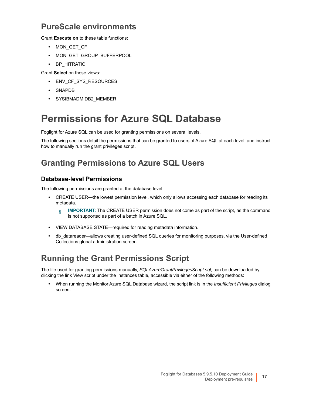### **PureScale environments**

Grant **Execute on** to these table functions:

- **•** MON\_GET\_CF
- **•** MON\_GET\_GROUP\_BUFFERPOOL
- **•** BP\_HITRATIO

Grant **Select** on these views:

- **•** ENV\_CF\_SYS\_RESOURCES
- **•** SNAPDB
- **•** SYSIBMADM.DB2\_MEMBER

## <span id="page-16-0"></span>**Permissions for Azure SQL Database**

Foglight for Azure SQL can be used for granting permissions on several levels.

The following sections detail the permissions that can be granted to users of Azure SQL at each level, and instruct how to manually run the grant privileges script.

### **Granting Permissions to Azure SQL Users**

### **Database-level Permissions**

The following permissions are granted at the database level:

**•** CREATE USER—the lowest permission level, which only allows accessing each database for reading its metadata.

**IMPORTANT:** The CREATE USER permission does not come as part of the script, as the command ÷ is not supported as part of a batch in Azure SQL.

- **•** VIEW DATABASE STATE—required for reading metadata information.
- **•** db\_datareader—allows creating user-defined SQL queries for monitoring purposes, via the User-defined Collections global administration screen.

### **Running the Grant Permissions Script**

The file used for granting permissions manually, *SQLAzureGrantPrivilegesScript.sql,* can be downloaded by clicking the link View script under the Instances table, accessible via either of the following methods:

**•** When running the Monitor Azure SQL Database wizard, the script link is in the *Insufficient Privileges* dialog screen.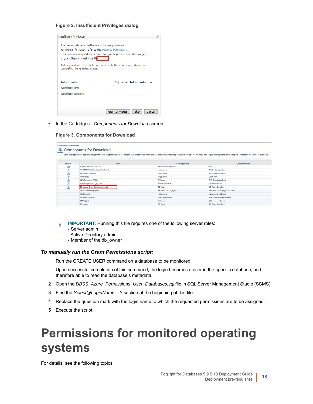### **Figure 2. Insufficient Privileges dialog**

| <b>Insufficient Privileges</b>                                                                                                                                                                                                         | $\times$                           |
|----------------------------------------------------------------------------------------------------------------------------------------------------------------------------------------------------------------------------------------|------------------------------------|
| The credentials provided have insufficient privileges.<br>For more information refer to the required permissions.<br>Either provide a sysadmin account for granting the required privileges<br>or grant them manually via this script. |                                    |
| Note: sysadmin credentials are not saved. They are required only for<br>completing the granting stage.                                                                                                                                 |                                    |
|                                                                                                                                                                                                                                        |                                    |
| Authentication:                                                                                                                                                                                                                        | SQL Server Authentication          |
| sysadmin User:                                                                                                                                                                                                                         |                                    |
| sysadmin Password:                                                                                                                                                                                                                     |                                    |
|                                                                                                                                                                                                                                        |                                    |
|                                                                                                                                                                                                                                        | Grant privileges<br>Skip<br>Cancel |

**•** In the Cartridges - *Components for Download* screen.

**Figure 3. Components for Download**

| <b>Components For Download</b><br><b>Components for Download</b><br>J.<br>Some cartridges include additional components, such as agent installers or additional configuration files. After cartridge installation, these components are available for download from Foglight Management Server using the |                                                                        |  |                        |                                   |                |
|----------------------------------------------------------------------------------------------------------------------------------------------------------------------------------------------------------------------------------------------------------------------------------------------------------|------------------------------------------------------------------------|--|------------------------|-----------------------------------|----------------|
| Installer A                                                                                                                                                                                                                                                                                              | Name                                                                   |  | Cartridge Name         |                                   | Component Name |
| 丞                                                                                                                                                                                                                                                                                                        | FoglightTrapAction MIB v2                                              |  | Send SNMP Trap Action  | MIB                               |                |
| 丞                                                                                                                                                                                                                                                                                                        | WinRM GPO Setting Against AD script                                    |  | HostAgents             | WinRM Configuration               |                |
| 丞                                                                                                                                                                                                                                                                                                        | <b>Integration Samples</b>                                             |  | Integration            | Integration-Samples               |                |
| 丞                                                                                                                                                                                                                                                                                                        | Other Mibs<br>Other-Mibs<br>Integration                                |  |                        |                                   |                |
| 丞                                                                                                                                                                                                                                                                                                        | QMX Translation Table<br><b>QMXAgent</b><br>QMX Translation Table      |  |                        |                                   |                |
| 丞                                                                                                                                                                                                                                                                                                        | PythonAgentSDK-1_0_3.zip                                               |  | PythonAgentSDK         | Development Kit                   |                |
| 亚                                                                                                                                                                                                                                                                                                        | DB_Azure_Grant_Permission_Script                                       |  | DB_Azure               | DB_Azure-Installers               |                |
|                                                                                                                                                                                                                                                                                                          | NetstatMonitoringAgent                                                 |  | NetstatMonitoringAgent | NetstatMonitoringAgent-Installers |                |
|                                                                                                                                                                                                                                                                                                          | <b>Host Agents</b>                                                     |  | HostAgents             | HostAgents-Installers             |                |
|                                                                                                                                                                                                                                                                                                          | IntegrationAgents<br>IntegrationAgents-Installers<br>IntegrationAgents |  |                        |                                   |                |
|                                                                                                                                                                                                                                                                                                          | <b>QMXAgent</b><br>QMXAgent-Installers<br>QMXAgent                     |  |                        |                                   |                |
|                                                                                                                                                                                                                                                                                                          | DB_Azure-Installers<br>DB_Azure<br>DB_Azure                            |  |                        |                                   |                |

**IMPORTANT:** Running this file requires one of the following server roles: f.

- Server admin
- Active Directory admin
- Member of the db\_owner

### *To manually run the Grant Permissions script:*

1 Run the CREATE USER command on a database to be monitored.

Upon successful completion of this command, the login becomes a user in the specific database, and therefore able to read the database's metadata.

- 2 Open the *DBSS\_Azure\_Permissions\_User\_Databases.sql* file in SQL Server Management Studio (SSMS).
- 3 Find the *Select@LoginName = ?* section at the beginning of this file.
- 4 Replace the question mark with the login name to which the requested permissions are to be assigned.
- 5 Execute the script.

# <span id="page-17-0"></span>**Permissions for monitored operating systems**

For details, see the following topics: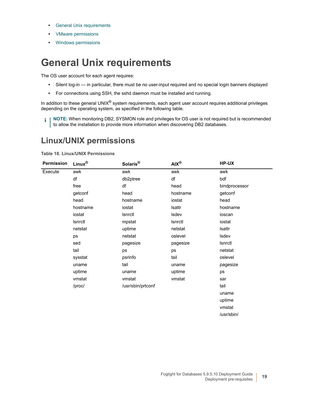- **•** [General Unix requirem](#page-19-0)ents
- **•** [VMware permissions](#page-19-1)
- <span id="page-18-0"></span>**•** Windows permissions

## **General Unix requirements**

The OS user account for each agent requires:

- **•** Silent log-in in particular, there must be no user-input required and no special login banners displayed
- **•** For connections using SSH, the sshd daemon must be installed and running.

In addition to these general UNIX<sup>®</sup> system requirements, each agent user account requires additional privileges depending on the operating system, as specified in the following table.

**NOTE:** When monitoring DB2, SYSMON role and privileges for OS user is not required but is recommended to allow the installation to provide more information when discovering DB2 databases.

### **Linux/UNIX permissions**

**Table 18. Linux/UNIX Permissions**

| <b>Permission</b> | $Linux^{\circledR}$ | Solaris®          | $AIX^{\circledR}$ | HP-UX         |
|-------------------|---------------------|-------------------|-------------------|---------------|
| Execute           | awk                 | awk               | awk               | $a$ wk        |
|                   | df                  | db2ptree          | df                | bdf           |
|                   | free                | df                | head              | bindprocessor |
|                   | getconf             | head              | hostname          | getconf       |
|                   | head                | hostname          | iostat            | head          |
|                   | hostname            | iostat            | Isattr            | hostname      |
|                   | iostat              | Isnrctl           | Isdev             | ioscan        |
|                   | Isnrctl             | mpstat            | Isnrctl           | iostat        |
|                   | netstat             | uptime            | netstat           | Isattr        |
|                   | ps                  | netstat           | oslevel           | Isdev         |
|                   | sed                 | pagesize          | pagesize          | Isnrctl       |
|                   | tail                | ps                | ps                | netstat       |
|                   | sysstat             | psrinfo           | tail              | oslevel       |
|                   | uname               | tail              | uname             | pagesize      |
|                   | uptime              | uname             | uptime            | ps            |
|                   | vmstat              | vmstat            | vmstat            | sar           |
|                   | /proc/              | /usr/sbin/prtconf |                   | tail          |
|                   |                     |                   |                   | uname         |
|                   |                     |                   |                   | uptime        |
|                   |                     |                   |                   | vmstat        |
|                   |                     |                   |                   | /usr/sbin/    |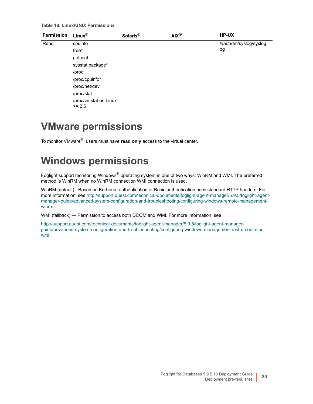**Table 18. Linux/UNIX Permissions**

| Permission | $Linux^{\circledR}$               | Solaris <sup>®</sup> | $AIX^{\circledR}$ | HP-UX                    |
|------------|-----------------------------------|----------------------|-------------------|--------------------------|
| Read       | cpuinfo                           |                      |                   | /var/adm/syslog/syslog.l |
|            | $free*$                           |                      |                   | og                       |
|            | getconf                           |                      |                   |                          |
|            | sysstat package*                  |                      |                   |                          |
|            | /proc                             |                      |                   |                          |
|            | /proc/cpuinfo*                    |                      |                   |                          |
|            | /proc/net/dev                     |                      |                   |                          |
|            | /proc/stat                        |                      |                   |                          |
|            | /proc/vmstat on Linux<br>$>= 2.6$ |                      |                   |                          |

## <span id="page-19-0"></span>**VMware permissions**

<span id="page-19-1"></span>To monitor VMware®, users must have **read only** access to the virtual center.

## **Windows permissions**

Foglight support monitoring Windows® operating system in one of two ways: WinRM and WMI. The preferred method is WinRM wh[en no WinRM connection WMI connection is used.](http://support.quest.com/technical-documents/foglight-agent-manager/5.9.4/foglight-agent-manager-guide/advanced-system-configuration-and-troubleshooting/configuring-windows-remote-management-winrm)

[WinRM \(default\) - Based on Kerberos authentication or Basic authentication uses standard HTTP headers. For](http://support.quest.com/technical-documents/foglight-agent-manager/5.9.4/foglight-agent-manager-guide/advanced-system-configuration-and-troubleshooting/configuring-windows-remote-management-winrm)  more information, see http://support.quest.com/technical-documents/foglight-agent-manager/5.9.5/foglight-agentmanager-guide/advanced-system-configuration-and-troubleshooting/configuring-windows-remote-managementwinrm.

[WMI \(fallback\) — Permission to access both DCOM and WMI. For more information, see](http://support.quest.com/technical-documents/foglight-agent-manager/5.9.5/foglight-agent-manager-guide/advanced-system-configuration-and-troubleshooting/configuring-windows-management-instrumentation-wmi)

http://support.quest.com/technical-documents/foglight-agent-manager/5.9.5/foglight-agent-manager[guide/advanced-system-configuration-and-troubleshooting/configuring-windows-management-instrumentation](http://documents.quest.com/foglight-agent-manager/5.8.5.1/foglight-agent-manager-guide/advanced-system-configuration-and-troubleshooting/configuring-windows-management-instrumentation-wmi?ParentProduct=856# 
)wmi.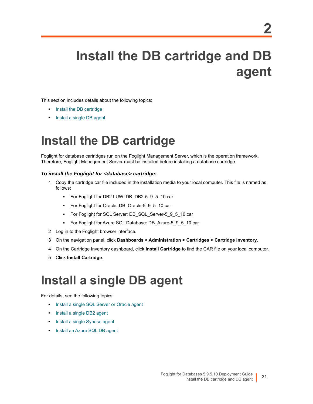# <span id="page-20-0"></span>**Install the DB cartridge and DB agent**

This s[ection includes details ab](#page-20-1)out the following topics:

- **•** [Install the DB cartridge](#page-20-2)
- <span id="page-20-1"></span>**•** Install a single DB agent

# **Install the DB cartridge**

Foglight for database cartridges run on the Foglight Management Server, which is the operation framework. Therefore, Foglight Management Server must be installed before installing a database cartridge.

### *To install the Foglight for <database> cartridge:*

- 1 Copy the cartridge car file included in the installation media to your local computer. This file is named as follows:
	- **▪** For Foglight for DB2 LUW: DB\_DB2-5\_9\_5\_10.car
	- **▪** For Foglight for Oracle: DB\_Oracle-5\_9\_5\_10.car
	- **▪** For Foglight for SQL Server: DB\_SQL\_Server-5\_9\_5\_10.car
	- **▪** For Foglight for Azure SQL Database: DB\_Azure-5\_9\_5\_10.car
- 2 Log in to the Foglight browser interface.
- 3 On the navigation panel, click **Dashboards > Administration > Cartridges > Cartridge Inventory**.
- 4 On the Cartridge Inventory dashboard, click **Install Cartridge** to find the CAR file on your local computer.
- <span id="page-20-2"></span>5 Click **Install Cartridge**.

# **Install a single DB agent**

For det[ails, see the following topics:](#page-21-0)

- **•** [Install a single SQL Serve](#page-21-1)r or Oracle agent
- **•** [Install a single DB2 agent](#page-21-2)
- **•** [Install a single Sybase agent](#page-22-0)
- **•** Install an Azure SQL DB agent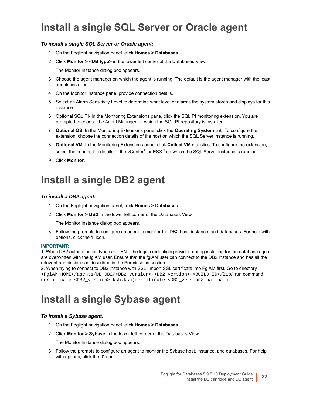## <span id="page-21-0"></span>**Install a single SQL Server or Oracle agent**

### *To install a single SQL Server or Oracle agent:*

- 1 On the Foglight navigation panel, click **Homes > Databases**.
- 2 Click **Monitor > <DB type>** in the lower left corner of the Databases View.

The Monitor Instance dialog box appears.

- 3 Choose the agent manager on which the agent is running. The default is the agent manager with the least agents installed.
- 4 On the Monitor Instance pane, provide connection details.
- 5 Select an Alarm Sensitivity Level to determine what level of alarms the system stores and displays for this instance.
- 6 Optional SQL PI- In the Monitoring Extensions pane, click the SQL PI monitoring extension. You are prompted to choose the Agent Manager on which the SQL PI repository is installed.
- 7 **Optional OS**. In the Monitoring Extensions pane, click the **Operating System** link. To configure the extension, choose the connection details of the host on which the SQL Server instance is running.
- 8 **Optional VM**. In the Monitoring Extensions pane, click **Collect VM** statistics. To configure the extension, select the connection details of the vCenter® or ESX® on which the SQL Server instance is running.
- 9 Click **Monitor**.

### <span id="page-21-1"></span>**Install a single DB2 agent**

### *To install a DB2 agent:*

- 1 On the Foglight navigation panel, click **Homes > Databases**.
- 2 Click **Monitor > DB2** in the lower left corner of the Databases View.

The Monitor Instance dialog box appears.

3 Follow the prompts to configure an agent to monitor the DB2 host, instance, and databases. For help with options, click the **'i'** icon.

#### **IMPORTANT:**

1. When DB2 authentication type is CLIENT, the login credentials provided during installing for the database agent are overwritten with the fglAM user. Ensure that the fglAM user can connect to the DB2 instance and has all the relevant permissions as described in the Permissions section.

2. When trying to connect to DB2 instance with SSL, import SSL certificate into FglAM first. Go to directory <FglAM\_HOME>/agents/DB\_DB2/<DB2\_version>-<DB2\_version>-<BUILD\_ID>/lib/, run command certificate-<DB2\_version>-ksh.ksh(certificate-<DB2\_version>-bat.bat)

## <span id="page-21-2"></span>**Install a single Sybase agent**

#### *To install a Sybase agent:*

- 1 On the Foglight navigation panel, click **Homes > Databases**.
- 2 Click **Monitor > Sybase** in the lower left corner of the Databases View.

The Monitor Instance dialog box appears.

3 Follow the prompts to configure an agent to monitor the Sybase host, instance, and databases. For help with options, click the **'i'** icon.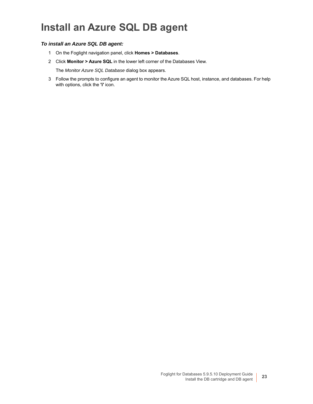## <span id="page-22-0"></span>**Install an Azure SQL DB agent**

### *To install an Azure SQL DB agent:*

- 1 On the Foglight navigation panel, click **Homes > Databases**.
- 2 Click **Monitor > Azure SQL** in the lower left corner of the Databases View.

The *Monitor Azure SQL Database* dialog box appears.

3 Follow the prompts to configure an agent to monitor the Azure SQL host, instance, and databases. For help with options, click the **'i'** icon.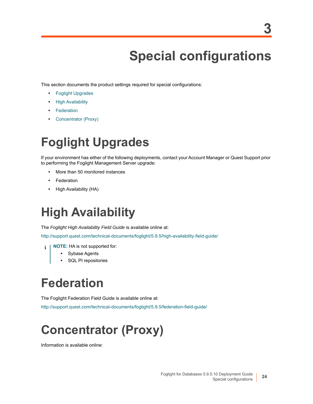# **Special configurations**

<span id="page-23-0"></span>This s[ection documents th](#page-23-1)e product settings required for special configurations:

- **•** [Foglight Upgrad](#page-23-2)es
- **•** [High Availa](#page-23-3)bility
- **•** [Federation](#page-23-4)
- <span id="page-23-1"></span>**•** Concentrator (Proxy)

# **Foglight Upgrades**

If your environment has either of the following deployments, contact your Account Manager or Quest Support prior to performing the Foglight Management Server upgrade:

- **•** More than 50 monitored instances
- **•** Federation
- <span id="page-23-2"></span>**•** High Availability (HA)

# **High Availability**

The *[Foglight High Availability Field Guide](http://support.quest.com/technical-documents/foglight/5.9.5/high-availability-field-guide/)* is available online at:

http://support.quest.com/technical-documents/foglight/5.9.5/high-availability-field-guide/

- **NOTE:** HA is not supported for:
	- **•** Sybase Agents
	- **•** SQL PI repositories

# <span id="page-23-3"></span>**Federation**

[The Foglight Federation Field Guide is available online at:](http://support.quest.com/technical-documents/foglight/5.9.5/federation-field-guide/)

<span id="page-23-4"></span>http://support.quest.com/technical-documents/foglight/5.9.5/federation-field-guide/

# **Concentrator (Proxy)**

Information is available online: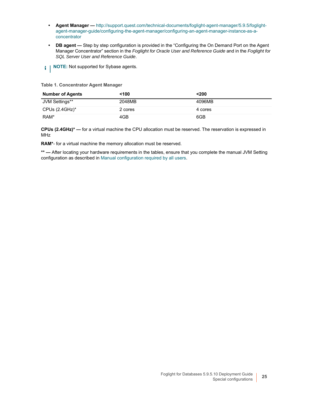- **Agent Manager —** [http://support.quest.com/technical-documents/foglight-agent-manager/5.9.5/foglight](http://support.quest.com/technical-documents/foglight-agent-manager/5.9.5/foglight-agent-manager-guide/configuring-the-agent-manager/configuring-an-agent-manager-instance-as-a-concentrator)agent-manager-guide/configuring-the-agent-manager/configuring-an-agent-manager-instance-as-aconcentrator
- **DB agent** Step by step configuration is provided in the "Configuring the On Demand Port on the Agent Manager Concentrator" section in the *Foglight for Oracle User and Reference Guide* and in the *Foglight for SQL Server User and Reference Guide*.
- **i** | NOTE: Not supported for Sybase agents.

#### **Table 1. Concentrator Agent Manager**

| <b>Number of Agents</b> | <100    | $200$   |
|-------------------------|---------|---------|
| JVM Settings**          | 2048MB  | 4096MB  |
| CPUs $(2.4$ GHz $)^*$   | 2 cores | 4 cores |
| RAM*                    | 4GB     | 6GB     |

**CPUs (2.4GHz)\* —** for a virtual machine the CPU allocation must be reserved. The reservation is expressed in MHz

**RAM\***- for a virtual machine t[he memory allocation must be reserved.](#page-6-1)

**\*\* —** After locating your hardware requirements in the tables, ensure that you complete the manual JVM Setting configuration as described in Manual configuration required by all users.